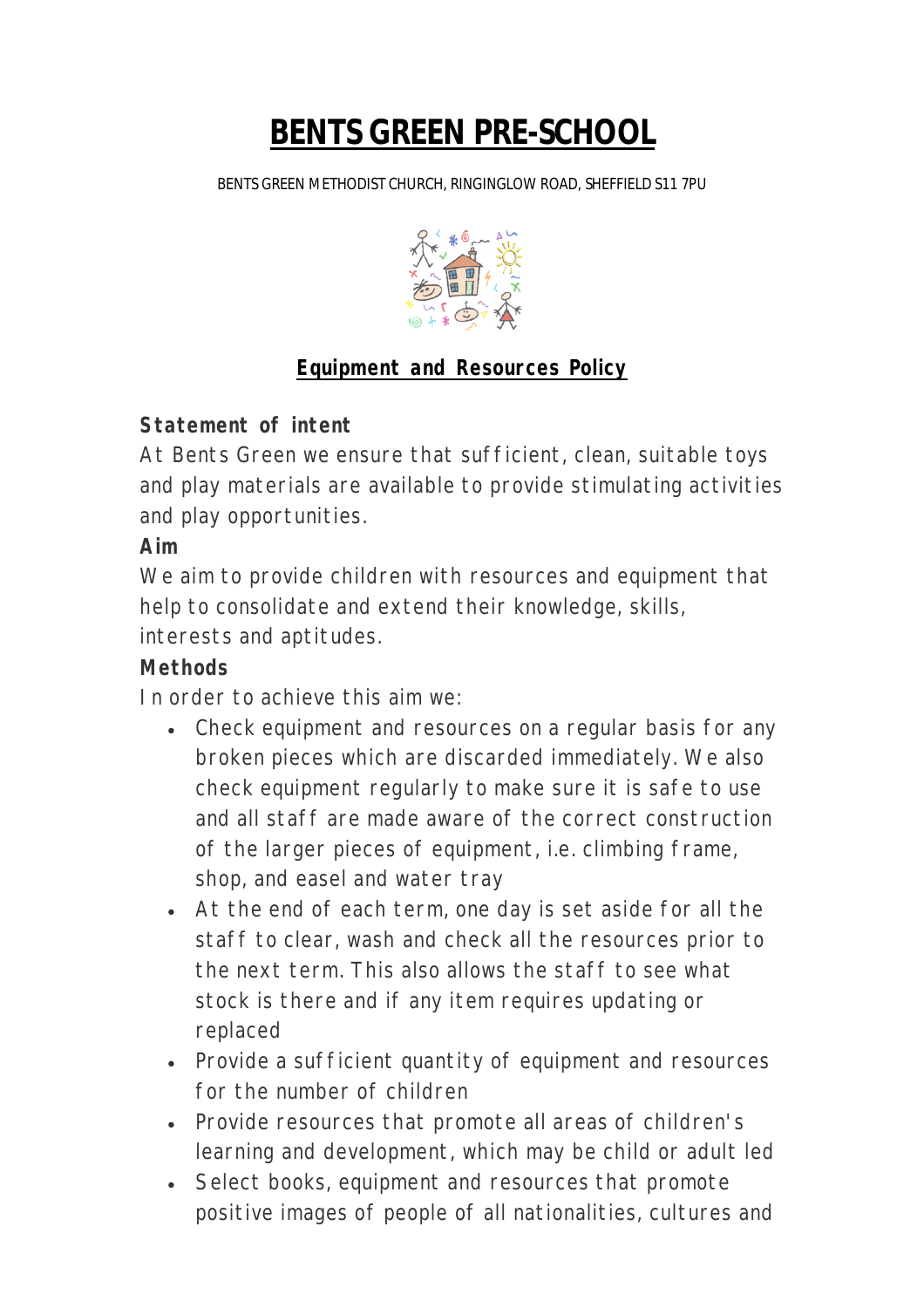# **BENTS GREEN PRE-SCHOOL**

BENTS GREEN METHODIST CHURCH, RINGINGLOW ROAD, SHEFFIELD S11 7PU



# **Equipment and Resources Policy**

## **Statement of intent**

At Bents Green we ensure that sufficient, clean, suitable toys and play materials are available to provide stimulating activities and play opportunities.

## **Aim**

We aim to provide children with resources and equipment that help to consolidate and extend their knowledge, skills, interests and aptitudes.

### **Methods**

In order to achieve this aim we:

- Check equipment and resources on a regular basis for any broken pieces which are discarded immediately. We also check equipment regularly to make sure it is safe to use and all staff are made aware of the correct construction of the larger pieces of equipment, i.e. climbing frame, shop, and easel and water tray
- At the end of each term, one day is set aside for all the staff to clear, wash and check all the resources prior to the next term. This also allows the staff to see what stock is there and if any item requires updating or replaced
- Provide a sufficient quantity of equipment and resources for the number of children
- Provide resources that promote all areas of children's learning and development, which may be child or adult led
- Select books, equipment and resources that promote positive images of people of all nationalities, cultures and